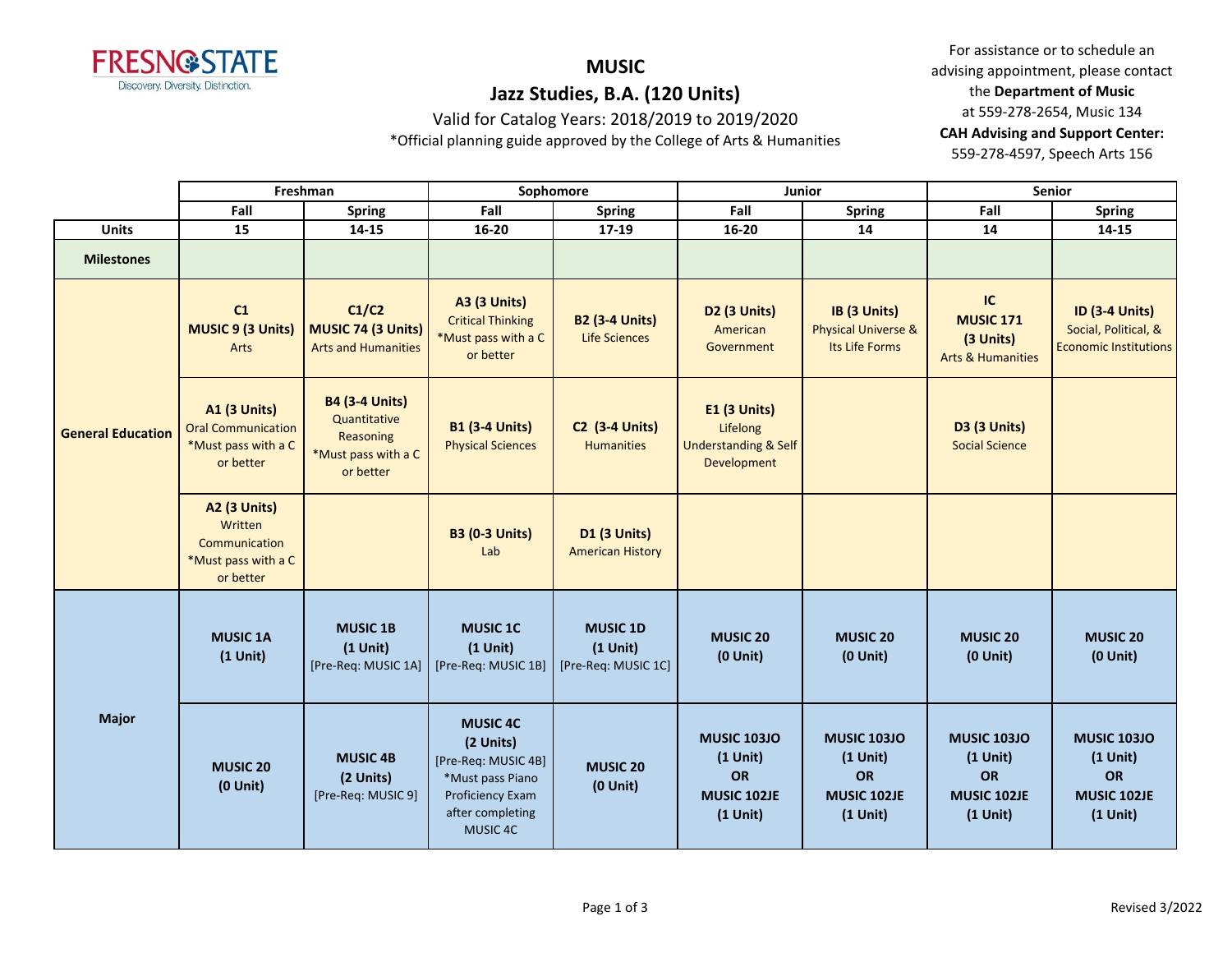

# **MUSIC**

# **Jazz Studies, B.A. (120 Units)**

Valid for Catalog Years: 2018/2019 to 2019/2020

\*Official planning guide approved by the College of Arts & Humanities

For assistance or to schedule an advising appointment, please contact the **Department of Music** at 559-278-2654, Music 134 **CAH Advising and Support Center:**  559-278-4597, Speech Arts 156

|                          |                                                                                      | Freshman                                                                               |                                                                                                                             | Sophomore                                            |                                                                            | Junior                                                              |                                                                     | <b>Senior</b>                                                                 |
|--------------------------|--------------------------------------------------------------------------------------|----------------------------------------------------------------------------------------|-----------------------------------------------------------------------------------------------------------------------------|------------------------------------------------------|----------------------------------------------------------------------------|---------------------------------------------------------------------|---------------------------------------------------------------------|-------------------------------------------------------------------------------|
|                          | Fall                                                                                 | Spring                                                                                 | Fall                                                                                                                        | <b>Spring</b>                                        | Fall                                                                       | Spring                                                              | Fall                                                                | <b>Spring</b>                                                                 |
| <b>Units</b>             | 15                                                                                   | 14-15                                                                                  | 16-20                                                                                                                       | 17-19                                                | 16-20                                                                      | 14                                                                  | 14                                                                  | 14-15                                                                         |
| <b>Milestones</b>        |                                                                                      |                                                                                        |                                                                                                                             |                                                      |                                                                            |                                                                     |                                                                     |                                                                               |
|                          | C1<br><b>MUSIC 9 (3 Units)</b><br>Arts                                               | C1/C2<br>MUSIC 74 (3 Units)<br><b>Arts and Humanities</b>                              | <b>A3 (3 Units)</b><br><b>Critical Thinking</b><br>*Must pass with a C<br>or better                                         | <b>B2 (3-4 Units)</b><br><b>Life Sciences</b>        | D2 (3 Units)<br>American<br>Government                                     | IB (3 Units)<br><b>Physical Universe &amp;</b><br>Its Life Forms    | IC<br><b>MUSIC 171</b><br>(3 Units)<br><b>Arts &amp; Humanities</b> | <b>ID (3-4 Units)</b><br>Social, Political, &<br><b>Economic Institutions</b> |
| <b>General Education</b> | <b>A1 (3 Units)</b><br><b>Oral Communication</b><br>*Must pass with a C<br>or better | <b>B4 (3-4 Units)</b><br>Quantitative<br>Reasoning<br>*Must pass with a C<br>or better | <b>B1 (3-4 Units)</b><br><b>Physical Sciences</b>                                                                           | <b>C2 (3-4 Units)</b><br><b>Humanities</b>           | E1 (3 Units)<br>Lifelong<br><b>Understanding &amp; Self</b><br>Development |                                                                     | D3 (3 Units)<br><b>Social Science</b>                               |                                                                               |
|                          | <b>A2 (3 Units)</b><br>Written<br>Communication<br>*Must pass with a C<br>or better  |                                                                                        | <b>B3 (0-3 Units)</b><br>Lab                                                                                                | D1 (3 Units)<br><b>American History</b>              |                                                                            |                                                                     |                                                                     |                                                                               |
|                          | <b>MUSIC 1A</b><br>$(1$ Unit)                                                        | <b>MUSIC 1B</b><br>$(1$ Unit)<br>[Pre-Req: MUSIC 1A]                                   | <b>MUSIC 1C</b><br>$(1$ Unit)<br>[Pre-Req: MUSIC 1B]                                                                        | <b>MUSIC 1D</b><br>$(1$ Unit)<br>[Pre-Req: MUSIC 1C] | <b>MUSIC 20</b><br>$(0$ Unit)                                              | <b>MUSIC 20</b><br>$(0$ Unit)                                       | <b>MUSIC 20</b><br>$(0$ Unit)                                       | <b>MUSIC 20</b><br>$(0$ Unit $)$                                              |
| <b>Major</b>             | <b>MUSIC 20</b><br>$(0$ Unit $)$                                                     | <b>MUSIC 4B</b><br>(2 Units)<br>[Pre-Req: MUSIC 9]                                     | <b>MUSIC 4C</b><br>(2 Units)<br>[Pre-Req: MUSIC 4B]<br>*Must pass Piano<br>Proficiency Exam<br>after completing<br>MUSIC 4C | <b>MUSIC 20</b><br>$(0$ Unit)                        | <b>MUSIC 103JO</b><br>$(1$ Unit)<br>OR<br>MUSIC 102JE<br>$(1$ Unit)        | <b>MUSIC 103JO</b><br>$(1$ Unit)<br>OR<br>MUSIC 102JE<br>$(1$ Unit) | <b>MUSIC 103JO</b><br>$(1$ Unit)<br>OR<br>MUSIC 102JE<br>$(1$ Unit) | <b>MUSIC 103JO</b><br>$(1$ Unit)<br><b>OR</b><br>MUSIC 102JE<br>$(1$ Unit)    |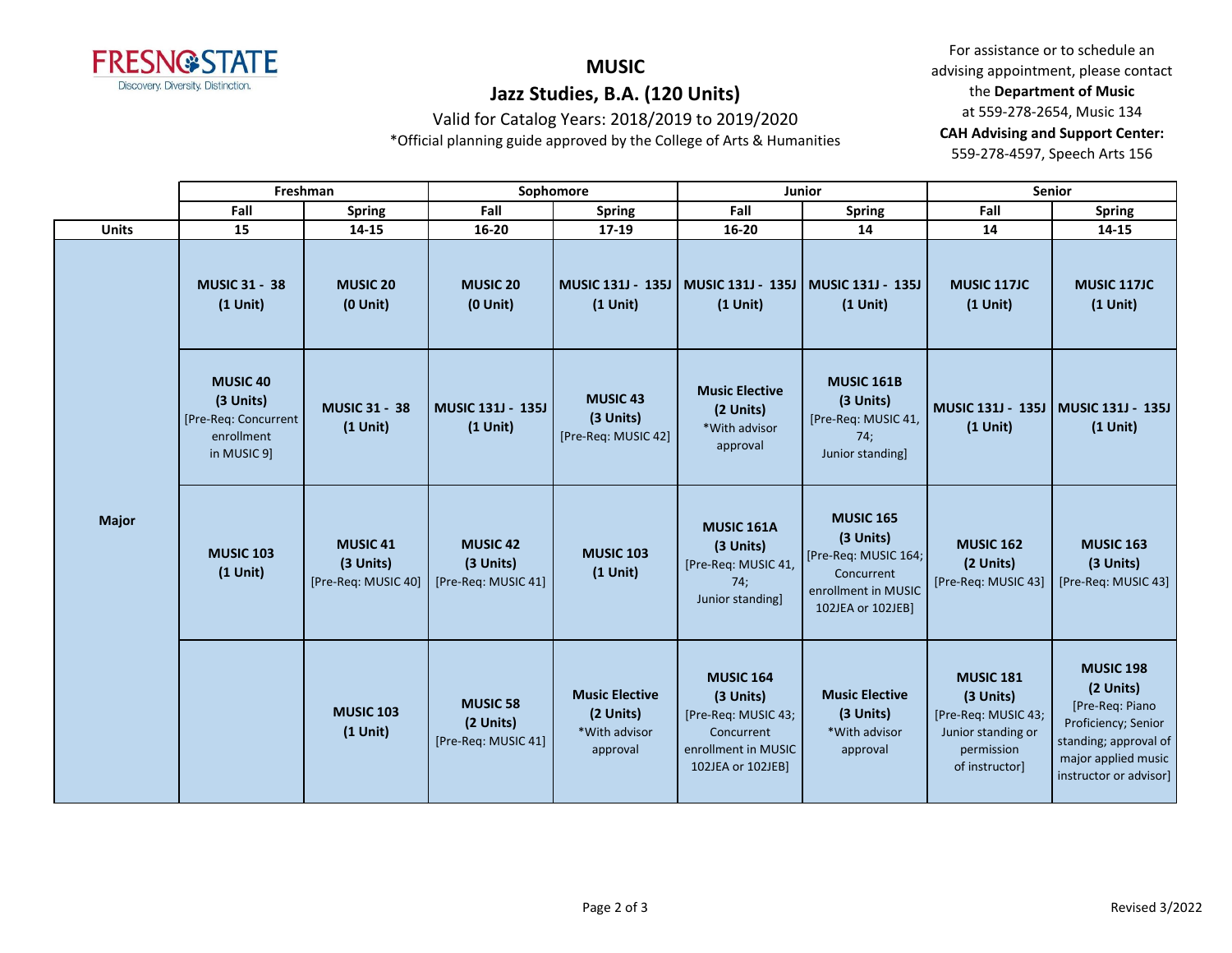

# **MUSIC**

## **Jazz Studies, B.A. (120 Units)**

Valid for Catalog Years: 2018/2019 to 2019/2020

\*Official planning guide approved by the College of Arts & Humanities

For assistance or to schedule an advising appointment, please contact the **Department of Music** at 559-278-2654, Music 134 **CAH Advising and Support Center:**  559-278-4597, Speech Arts 156

|  |                                    |                                                                                   | Freshman                                                |                                                     | Sophomore                                                       |                                                                                                                | <b>Junior</b>                                                                                                   |                                                                                                            | <b>Senior</b>                                                                                                                                     |
|--|------------------------------------|-----------------------------------------------------------------------------------|---------------------------------------------------------|-----------------------------------------------------|-----------------------------------------------------------------|----------------------------------------------------------------------------------------------------------------|-----------------------------------------------------------------------------------------------------------------|------------------------------------------------------------------------------------------------------------|---------------------------------------------------------------------------------------------------------------------------------------------------|
|  |                                    | Fall                                                                              | <b>Spring</b>                                           | Fall                                                | <b>Spring</b>                                                   | Fall                                                                                                           | <b>Spring</b>                                                                                                   | Fall                                                                                                       | <b>Spring</b>                                                                                                                                     |
|  | <b>Units</b>                       | 15<br>14-15                                                                       |                                                         | 16-20                                               | 17-19                                                           | $16 - 20$                                                                                                      | 14                                                                                                              | 14                                                                                                         | 14-15                                                                                                                                             |
|  | <b>MUSIC 31 - 38</b><br>$(1$ Unit) | <b>MUSIC 20</b><br>$(0$ Unit $)$                                                  | <b>MUSIC 20</b><br>$(0$ Unit $)$                        | <b>MUSIC 131J - 135J</b><br>$(1$ Unit)              | MUSIC 131J - 135J   MUSIC 131J - 135J<br>$(1$ Unit)             | $(1$ Unit)                                                                                                     | <b>MUSIC 117JC</b><br>$(1$ Unit)                                                                                | <b>MUSIC 117JC</b><br>$(1$ Unit)                                                                           |                                                                                                                                                   |
|  |                                    | <b>MUSIC 40</b><br>(3 Units)<br>[Pre-Req: Concurrent<br>enrollment<br>in MUSIC 9] | <b>MUSIC 31 - 38</b><br>$(1$ Unit)                      | MUSIC 131J - 135J<br>$(1$ Unit)                     | <b>MUSIC 43</b><br>(3 Units)<br>[Pre-Req: MUSIC 42]             | <b>Music Elective</b><br>(2 Units)<br>*With advisor<br>approval                                                | <b>MUSIC 161B</b><br>(3 Units)<br>[Pre-Req: MUSIC 41,<br>74;<br>Junior standing]                                | $(1$ Unit)                                                                                                 | MUSIC 131J - 135J   MUSIC 131J - 135J<br>$(1$ Unit)                                                                                               |
|  | <b>Major</b>                       | <b>MUSIC 103</b><br>$(1$ Unit)                                                    | MUSIC <sub>41</sub><br>(3 Units)<br>[Pre-Req: MUSIC 40] | <b>MUSIC 42</b><br>(3 Units)<br>[Pre-Req: MUSIC 41] | <b>MUSIC 103</b><br>$(1$ Unit)                                  | <b>MUSIC 161A</b><br>(3 Units)<br>[Pre-Req: MUSIC 41,<br>74:<br>Junior standing]                               | <b>MUSIC 165</b><br>(3 Units)<br>[Pre-Req: MUSIC 164;<br>Concurrent<br>enrollment in MUSIC<br>102JEA or 102JEB] | <b>MUSIC 162</b><br>(2 Units)<br>[Pre-Req: MUSIC 43]                                                       | <b>MUSIC 163</b><br>(3 Units)<br>[Pre-Req: MUSIC 43]                                                                                              |
|  |                                    |                                                                                   | <b>MUSIC 103</b><br>$(1$ Unit)                          | <b>MUSIC 58</b><br>(2 Units)<br>[Pre-Req: MUSIC 41] | <b>Music Elective</b><br>(2 Units)<br>*With advisor<br>approval | <b>MUSIC 164</b><br>(3 Units)<br>[Pre-Req: MUSIC 43;<br>Concurrent<br>enrollment in MUSIC<br>102JEA or 102JEB] | <b>Music Elective</b><br>(3 Units)<br>*With advisor<br>approval                                                 | <b>MUSIC 181</b><br>(3 Units)<br>[Pre-Req: MUSIC 43;<br>Junior standing or<br>permission<br>of instructor] | <b>MUSIC 198</b><br>(2 Units)<br>[Pre-Req: Piano<br>Proficiency; Senior<br>standing; approval of<br>major applied music<br>instructor or advisor] |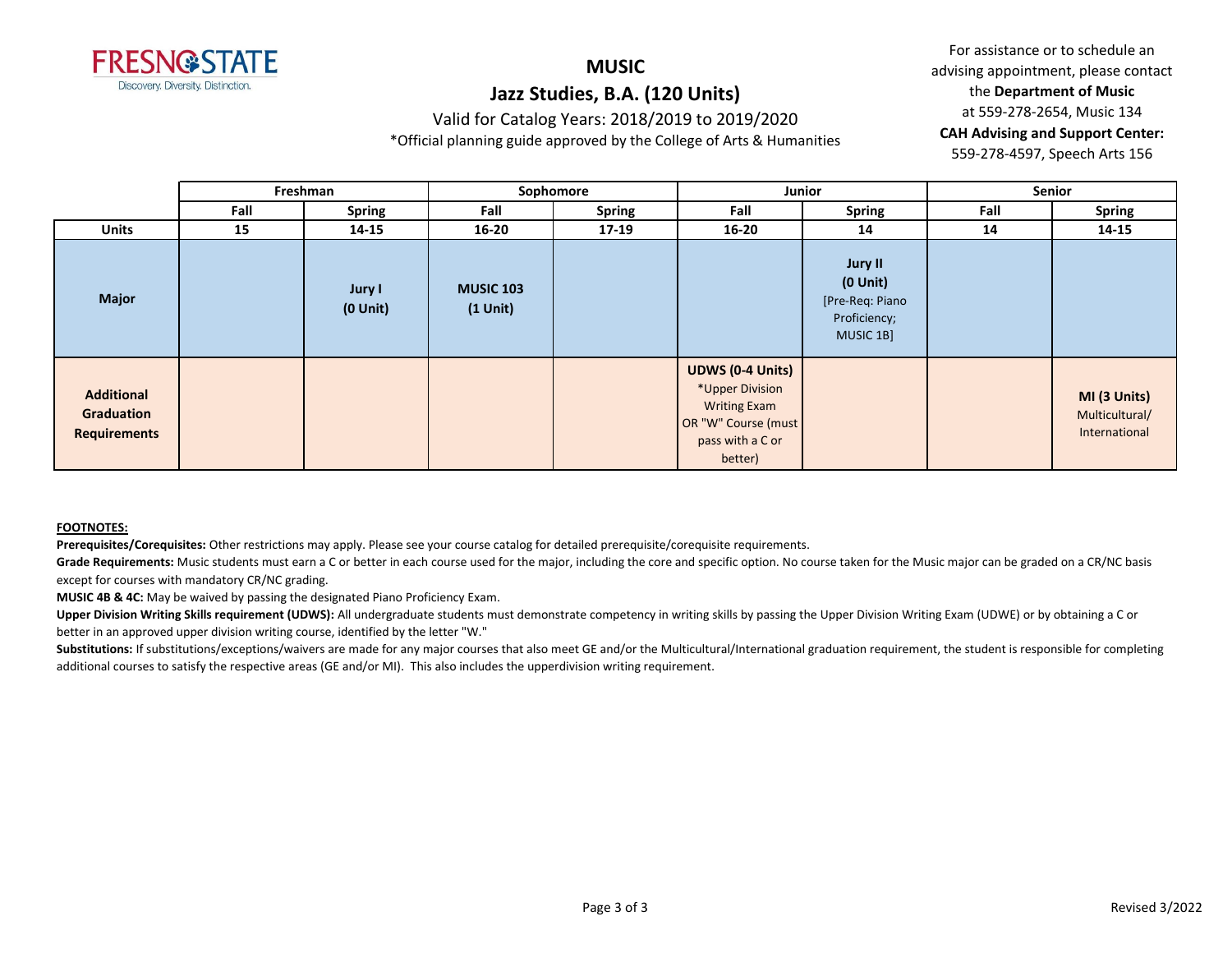

### **MUSIC Jazz Studies, B.A. (120 Units)**

Valid for Catalog Years: 2018/2019 to 2019/2020

\*Official planning guide approved by the College of Arts & Humanities

For assistance or to schedule an advising appointment, please contact the **Department of Music** at 559-278-2654, Music 134 **CAH Advising and Support Center:**  559-278-4597, Speech Arts 156

|                                                        |      | Freshman                |                                | Sophomore     | Junior                                                                                                                  |                                                                          |      | Senior                                          |
|--------------------------------------------------------|------|-------------------------|--------------------------------|---------------|-------------------------------------------------------------------------------------------------------------------------|--------------------------------------------------------------------------|------|-------------------------------------------------|
|                                                        | Fall | <b>Spring</b>           | Fall                           | <b>Spring</b> | Fall                                                                                                                    | Spring                                                                   | Fall | <b>Spring</b>                                   |
| <b>Units</b>                                           | 15   | 14-15                   | $16 - 20$                      | 17-19         | $16 - 20$                                                                                                               | 14                                                                       | 14   | 14-15                                           |
| <b>Major</b>                                           |      | Jury I<br>$(0$ Unit $)$ | <b>MUSIC 103</b><br>$(1$ Unit) |               |                                                                                                                         | Jury II<br>$(0$ Unit $)$<br>[Pre-Req: Piano<br>Proficiency;<br>MUSIC 1B] |      |                                                 |
| <b>Additional</b><br>Graduation<br><b>Requirements</b> |      |                         |                                |               | <b>UDWS (0-4 Units)</b><br>*Upper Division<br><b>Writing Exam</b><br>OR "W" Course (must<br>pass with a C or<br>better) |                                                                          |      | MI (3 Units)<br>Multicultural/<br>International |

#### **FOOTNOTES:**

**Prerequisites/Corequisites:** Other restrictions may apply. Please see your course catalog for detailed prerequisite/corequisite requirements.

Grade Requirements: Music students must earn a C or better in each course used for the major, including the core and specific option. No course taken for the Music major can be graded on a CR/NC basis except for courses with mandatory CR/NC grading.

**MUSIC 4B & 4C:** May be waived by passing the designated Piano Proficiency Exam.

Upper Division Writing Skills requirement (UDWS): All undergraduate students must demonstrate competency in writing skills by passing the Upper Division Writing Exam (UDWE) or by obtaining a C or better in an approved upper division writing course, identified by the letter "W."

Substitutions: If substitutions/exceptions/waivers are made for any major courses that also meet GE and/or the Multicultural/International graduation requirement, the student is responsible for completing additional courses to satisfy the respective areas (GE and/or MI). This also includes the upperdivision writing requirement.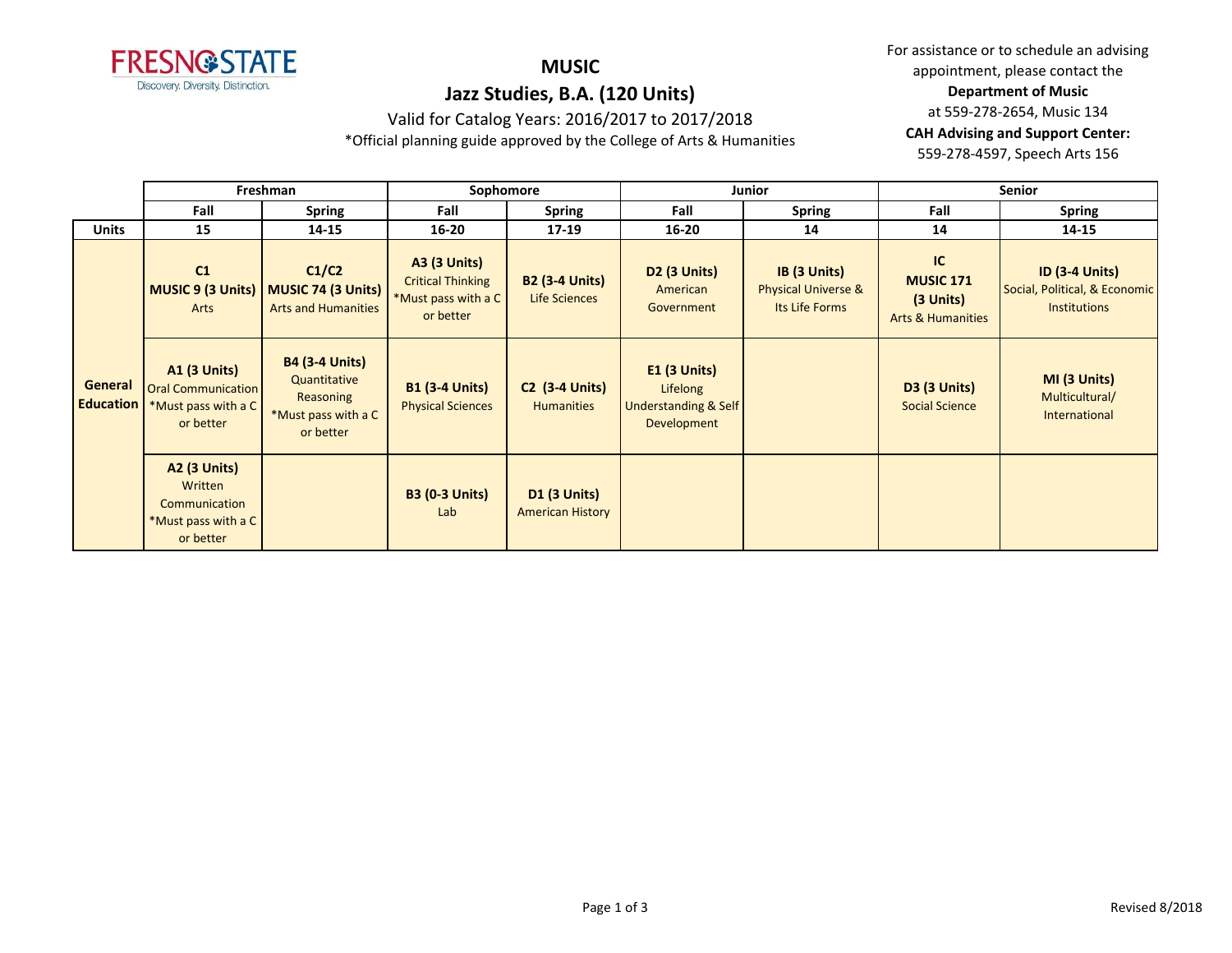

# **MUSIC**

For assistance or to schedule an advising appointment, please contact the **Department of Music** at 559-278-2654, Music 134 **CAH Advising and Support Center:**  559-278-4597, Speech Arts 156

# **Jazz Studies, B.A. (120 Units)**

Valid for Catalog Years: 2016/2017 to 2017/2018 \*Official planning guide approved by the College of Arts & Humanities

|                             | Freshman                                                                             |                                                                                        | Sophomore                                                                           |                                                |                                                                              | Junior                                                           | Senior                                                                |                                                                               |  |
|-----------------------------|--------------------------------------------------------------------------------------|----------------------------------------------------------------------------------------|-------------------------------------------------------------------------------------|------------------------------------------------|------------------------------------------------------------------------------|------------------------------------------------------------------|-----------------------------------------------------------------------|-------------------------------------------------------------------------------|--|
|                             | Fall                                                                                 | <b>Spring</b>                                                                          | Fall                                                                                | <b>Spring</b>                                  | Fall                                                                         | <b>Spring</b>                                                    | Fall                                                                  | <b>Spring</b>                                                                 |  |
| <b>Units</b>                | 15                                                                                   | 14-15                                                                                  | $16 - 20$                                                                           | 17-19                                          | $16 - 20$                                                                    | 14                                                               | 14                                                                    | 14-15                                                                         |  |
| General<br><b>Education</b> | C1<br>Arts                                                                           | C1/C2<br>MUSIC 9 (3 Units)   MUSIC 74 (3 Units)<br><b>Arts and Humanities</b>          | <b>A3 (3 Units)</b><br><b>Critical Thinking</b><br>*Must pass with a C<br>or better | <b>B2 (3-4 Units)</b><br>Life Sciences         | <b>D2 (3 Units)</b><br>American<br>Government                                | IB (3 Units)<br><b>Physical Universe &amp;</b><br>Its Life Forms | IC<br><b>MUSIC 171</b><br>$(3$ Units)<br><b>Arts &amp; Humanities</b> | <b>ID (3-4 Units)</b><br>Social, Political, & Economic<br><b>Institutions</b> |  |
|                             | <b>A1 (3 Units)</b><br><b>Oral Communication</b><br>*Must pass with a C<br>or better | <b>B4 (3-4 Units)</b><br>Quantitative<br>Reasoning<br>*Must pass with a C<br>or better | <b>B1 (3-4 Units)</b><br><b>Physical Sciences</b>                                   | <b>C2 (3-4 Units)</b><br><b>Humanities</b>     | $E1$ (3 Units)<br>Lifelong<br><b>Understanding &amp; Self</b><br>Development |                                                                  | <b>D3 (3 Units)</b><br><b>Social Science</b>                          | MI (3 Units)<br>Multicultural/<br>International                               |  |
|                             | <b>A2 (3 Units)</b><br>Written<br>Communication<br>*Must pass with a C<br>or better  |                                                                                        | <b>B3 (0-3 Units)</b><br>Lab                                                        | <b>D1 (3 Units)</b><br><b>American History</b> |                                                                              |                                                                  |                                                                       |                                                                               |  |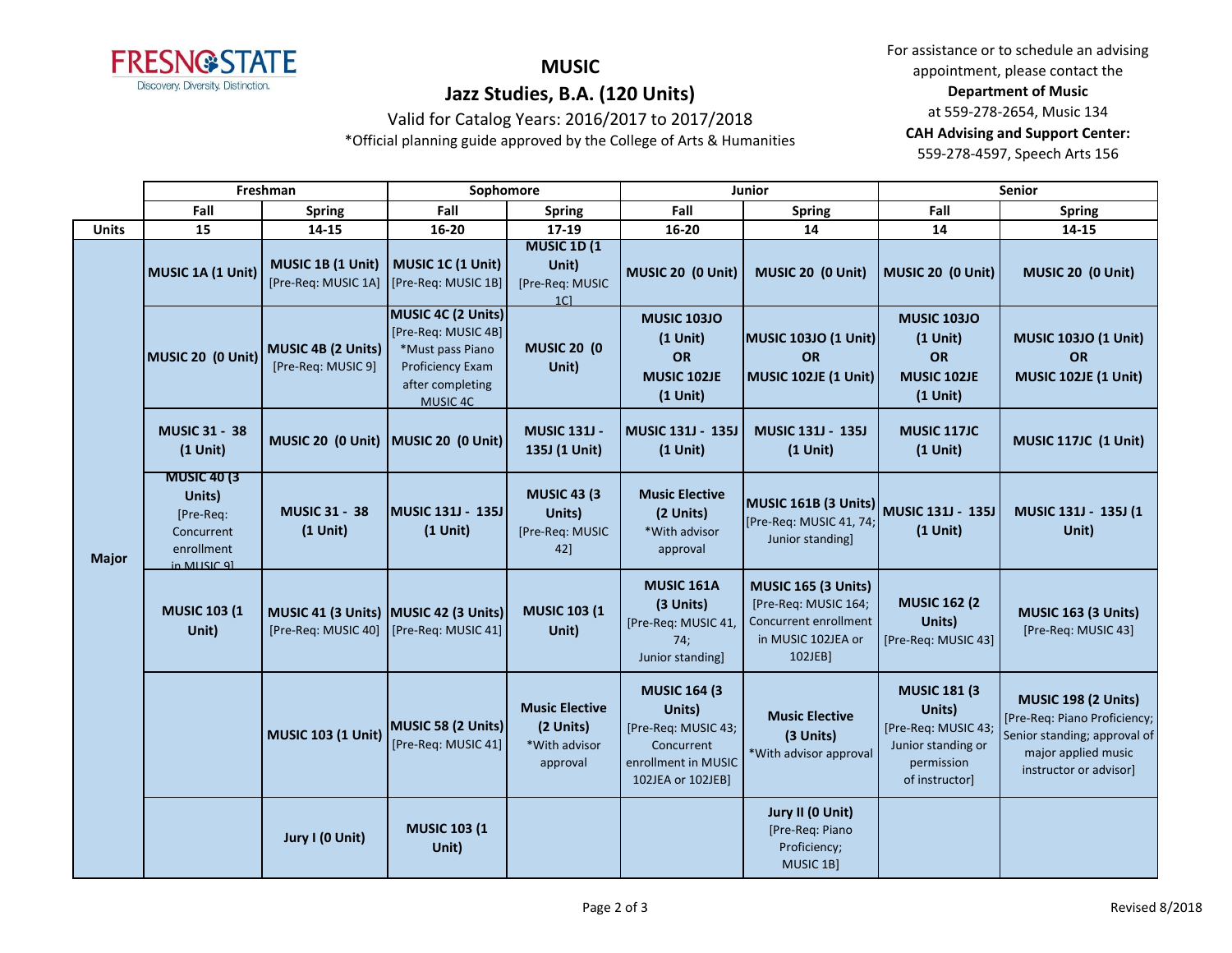

## **MUSIC Jazz Studies, B.A. (120 Units)**

For assistance or to schedule an advising appointment, please contact the **Department of Music** at 559-278-2654, Music 134 **CAH Advising and Support Center:**  559-278-4597, Speech Arts 156

# Valid for Catalog Years: 2016/2017 to 2017/2018

\*Official planning guide approved by the College of Arts & Humanities

|              | Freshman                                                                               |                                                                                  | Sophomore                                                                                                         |                                                                   |                                                                                                                 | Junior                                                                                                      | Senior                                                                                                     |                                                                                                                                             |
|--------------|----------------------------------------------------------------------------------------|----------------------------------------------------------------------------------|-------------------------------------------------------------------------------------------------------------------|-------------------------------------------------------------------|-----------------------------------------------------------------------------------------------------------------|-------------------------------------------------------------------------------------------------------------|------------------------------------------------------------------------------------------------------------|---------------------------------------------------------------------------------------------------------------------------------------------|
|              | Fall                                                                                   | <b>Spring</b>                                                                    | Fall                                                                                                              | <b>Spring</b>                                                     | Fall                                                                                                            | Spring                                                                                                      | Fall                                                                                                       | <b>Spring</b>                                                                                                                               |
| <b>Units</b> | 15                                                                                     | 14-15                                                                            | $16 - 20$                                                                                                         | 17-19                                                             | $16 - 20$                                                                                                       | 14                                                                                                          | 14                                                                                                         | 14-15                                                                                                                                       |
| <b>Major</b> | MUSIC 1A (1 Unit)                                                                      | MUSIC 1B (1 Unit)<br>[Pre-Req: MUSIC 1A] [Pre-Req: MUSIC 1B]                     | MUSIC 1C (1 Unit)                                                                                                 | <b>MUSIC 1D (1)</b><br>Unit)<br>[Pre-Req: MUSIC<br>1 <sup>C</sup> | MUSIC 20 (0 Unit)                                                                                               | MUSIC 20 (0 Unit)                                                                                           | MUSIC 20 (0 Unit)                                                                                          | MUSIC 20 (0 Unit)                                                                                                                           |
|              | MUSIC 20 (0 Unit)                                                                      | MUSIC 4B (2 Units)<br>[Pre-Req: MUSIC 9]                                         | MUSIC 4C (2 Units)<br>[Pre-Req: MUSIC 4B]<br>*Must pass Piano<br>Proficiency Exam<br>after completing<br>MUSIC 4C | <b>MUSIC 20 (0)</b><br>Unit)                                      | <b>MUSIC 103JO</b><br>$(1$ Unit)<br>OR<br>MUSIC 102JE<br>$(1$ Unit)                                             | <b>MUSIC 103JO (1 Unit)</b><br><b>OR</b><br><b>MUSIC 102JE (1 Unit)</b>                                     | <b>MUSIC 103JO</b><br>$(1$ Unit)<br>OR<br>MUSIC 102JE<br>$(1$ Unit)                                        | <b>MUSIC 103JO (1 Unit)</b><br>OR<br><b>MUSIC 102JE (1 Unit)</b>                                                                            |
|              | <b>MUSIC 31 - 38</b><br>$(1$ Unit)                                                     | MUSIC 20 (0 Unit) MUSIC 20 (0 Unit)                                              |                                                                                                                   | <b>MUSIC 131J -</b><br>135J (1 Unit)                              | MUSIC 131J - 135J<br>$(1$ Unit)                                                                                 | MUSIC 131J - 135J<br>$(1$ Unit)                                                                             | <b>MUSIC 117JC</b><br>$(1$ Unit)                                                                           | <b>MUSIC 117JC (1 Unit)</b>                                                                                                                 |
|              | <b>MUSIC 40 (3)</b><br>Units)<br>[Pre-Req:<br>Concurrent<br>enrollment<br>in MIISIC 91 | <b>MUSIC 31 - 38</b><br>$(1$ Unit)                                               | <b>MUSIC 131J - 135J</b><br>$(1$ Unit)                                                                            | <b>MUSIC 43 (3)</b><br>Units)<br>[Pre-Req: MUSIC<br>42]           | <b>Music Elective</b><br>(2 Units)<br>*With advisor<br>approval                                                 | MUSIC 161B (3 Units) MUSIC 131J - 135J<br>[Pre-Req: MUSIC 41, 74;<br>Junior standing]                       | $(1$ Unit)                                                                                                 | MUSIC 131J - 135J (1<br>Unit)                                                                                                               |
|              | <b>MUSIC 103 (1</b><br>Unit)                                                           | MUSIC 41 (3 Units) MUSIC 42 (3 Units)<br>[Pre-Req: MUSIC 40] [Pre-Req: MUSIC 41] |                                                                                                                   | <b>MUSIC 103 (1)</b><br>Unit)                                     | <b>MUSIC 161A</b><br>(3 Units)<br>[Pre-Req: MUSIC 41,<br>74;<br>Junior standing]                                | <b>MUSIC 165 (3 Units)</b><br>[Pre-Req: MUSIC 164;<br>Concurrent enrollment<br>in MUSIC 102JEA or<br>102JEB | <b>MUSIC 162 (2)</b><br>Units)<br>[Pre-Req: MUSIC 43]                                                      | <b>MUSIC 163 (3 Units)</b><br>[Pre-Req: MUSIC 43]                                                                                           |
|              |                                                                                        | <b>MUSIC 103 (1 Unit)</b>                                                        | MUSIC 58 (2 Units)<br>[Pre-Req: MUSIC 41]                                                                         | <b>Music Elective</b><br>(2 Units)<br>*With advisor<br>approval   | <b>MUSIC 164 (3)</b><br>Units)<br>[Pre-Req: MUSIC 43;<br>Concurrent<br>enrollment in MUSIC<br>102JEA or 102JEB] | <b>Music Elective</b><br>(3 Units)<br>*With advisor approval                                                | <b>MUSIC 181 (3</b><br>Units)<br>[Pre-Req: MUSIC 43;<br>Junior standing or<br>permission<br>of instructor] | <b>MUSIC 198 (2 Units)</b><br>[Pre-Req: Piano Proficiency;<br>Senior standing; approval of<br>major applied music<br>instructor or advisor] |
|              |                                                                                        | Jury I (0 Unit)                                                                  | <b>MUSIC 103 (1)</b><br>Unit)                                                                                     |                                                                   |                                                                                                                 | Jury II (0 Unit)<br>[Pre-Req: Piano<br>Proficiency;<br>MUSIC 1B]                                            |                                                                                                            |                                                                                                                                             |